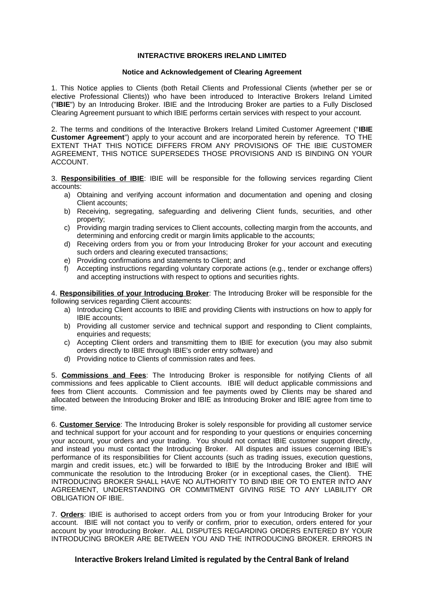## **INTERACTIVE BROKERS IRELAND LIMITED**

## **Notice and Acknowledgement of Clearing Agreement**

1. This Notice applies to Clients (both Retail Clients and Professional Clients (whether per se or elective Professional Clients)) who have been introduced to Interactive Brokers Ireland Limited ("**IBIE**") by an Introducing Broker. IBIE and the Introducing Broker are parties to a Fully Disclosed Clearing Agreement pursuant to which IBIE performs certain services with respect to your account.

2. The terms and conditions of the Interactive Brokers Ireland Limited Customer Agreement ("**IBIE Customer Agreement**") apply to your account and are incorporated herein by reference. TO THE EXTENT THAT THIS NOTICE DIFFERS FROM ANY PROVISIONS OF THE IBIE CUSTOMER AGREEMENT, THIS NOTICE SUPERSEDES THOSE PROVISIONS AND IS BINDING ON YOUR ACCOUNT.

3. **Responsibilities of IBIE**: IBIE will be responsible for the following services regarding Client accounts:

- a) Obtaining and verifying account information and documentation and opening and closing Client accounts;
- b) Receiving, segregating, safeguarding and delivering Client funds, securities, and other property;
- c) Providing margin trading services to Client accounts, collecting margin from the accounts, and determining and enforcing credit or margin limits applicable to the accounts;
- d) Receiving orders from you or from your Introducing Broker for your account and executing such orders and clearing executed transactions;
- e) Providing confirmations and statements to Client; and
- f) Accepting instructions regarding voluntary corporate actions (e.g., tender or exchange offers) and accepting instructions with respect to options and securities rights.

4. **Responsibilities of your Introducing Broker**: The Introducing Broker will be responsible for the following services regarding Client accounts:

- a) Introducing Client accounts to IBIE and providing Clients with instructions on how to apply for IBIE accounts;
- b) Providing all customer service and technical support and responding to Client complaints, enquiries and requests;
- c) Accepting Client orders and transmitting them to IBIE for execution (you may also submit orders directly to IBIE through IBIE's order entry software) and
- d) Providing notice to Clients of commission rates and fees.

5. **Commissions and Fees**: The Introducing Broker is responsible for notifying Clients of all commissions and fees applicable to Client accounts. IBIE will deduct applicable commissions and fees from Client accounts. Commission and fee payments owed by Clients may be shared and allocated between the Introducing Broker and IBIE as Introducing Broker and IBIE agree from time to time.

6. **Customer Service**: The Introducing Broker is solely responsible for providing all customer service and technical support for your account and for responding to your questions or enquiries concerning your account, your orders and your trading. You should not contact IBIE customer support directly, and instead you must contact the Introducing Broker. All disputes and issues concerning IBIE's performance of its responsibilities for Client accounts (such as trading issues, execution questions, margin and credit issues, etc.) will be forwarded to IBIE by the Introducing Broker and IBIE will communicate the resolution to the Introducing Broker (or in exceptional cases, the Client). THE INTRODUCING BROKER SHALL HAVE NO AUTHORITY TO BIND IBIE OR TO ENTER INTO ANY AGREEMENT, UNDERSTANDING OR COMMITMENT GIVING RISE TO ANY LIABILITY OR OBLIGATION OF IBIE.

7. **Orders**: IBIE is authorised to accept orders from you or from your Introducing Broker for your account. IBIE will not contact you to verify or confirm, prior to execution, orders entered for your account by your Introducing Broker. ALL DISPUTES REGARDING ORDERS ENTERED BY YOUR INTRODUCING BROKER ARE BETWEEN YOU AND THE INTRODUCING BROKER. ERRORS IN

## **Interactive Brokers Ireland Limited is regulated by the Central Bank of Ireland**